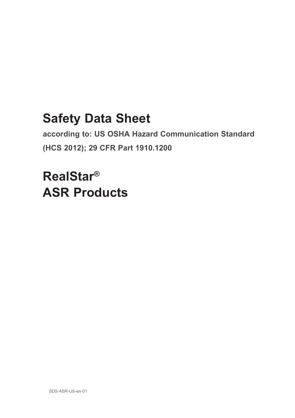# **Safety Data Sheet**

**according to: US OSHA Hazard Communication Standard (HCS 2012); 29 CFR Part 1910.1200**

# **RealStar® ASR Products**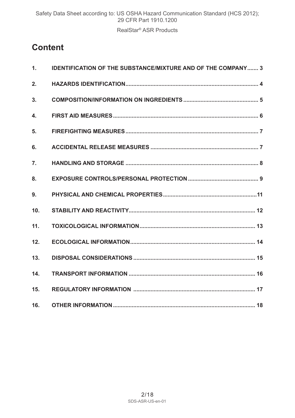# **Content**

| $\mathbf{1}$ . | <b>IDENTIFICATION OF THE SUBSTANCE/MIXTURE AND OF THE COMPANY 3</b> |
|----------------|---------------------------------------------------------------------|
| 2.             |                                                                     |
| 3.             |                                                                     |
| 4.             |                                                                     |
| 5.             |                                                                     |
| 6.             |                                                                     |
| 7.             |                                                                     |
| 8.             |                                                                     |
| 9.             |                                                                     |
| 10.            |                                                                     |
| 11.            |                                                                     |
| 12.            |                                                                     |
| 13.            |                                                                     |
| 14.            |                                                                     |
| 15.            |                                                                     |
| 16.            |                                                                     |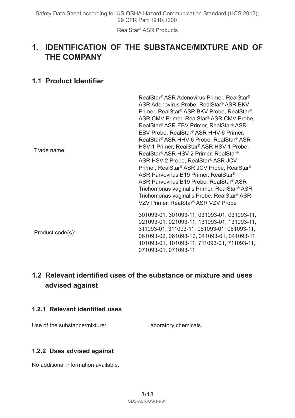# **1. IDENTIFICATION OF THE SUBSTANCE/MIXTURE AND OF THE COMPANY**

# **1.1 Product Identifier**

| Trade name:      | RealStar® ASR Adenovirus Primer, RealStar®<br>ASR Adenovirus Probe, RealStar® ASR BKV<br>Primer, RealStar® ASR BKV Probe, RealStar®<br>ASR CMV Primer, RealStar® ASR CMV Probe,<br>RealStar® ASR EBV Primer, RealStar® ASR<br>EBV Probe, RealStar® ASR HHV-6 Primer,<br>RealStar® ASR HHV-6 Probe, RealStar® ASR<br>HSV-1 Primer, RealStar® ASR HSV-1 Probe,<br>RealStar® ASR HSV-2 Primer. RealStar®<br>ASR HSV-2 Probe, RealStar® ASR JCV<br>Primer, RealStar® ASR JCV Probe, RealStar®<br>ASR Parvovirus B19 Primer, RealStar <sup>®</sup><br>ASR Parvovirus B19 Probe, RealStar® ASR<br>Trichomonas vaginalis Primer, RealStar® ASR<br>Trichomonas vaginalis Probe, RealStar® ASR<br>VZV Primer, RealStar® ASR VZV Probe |
|------------------|------------------------------------------------------------------------------------------------------------------------------------------------------------------------------------------------------------------------------------------------------------------------------------------------------------------------------------------------------------------------------------------------------------------------------------------------------------------------------------------------------------------------------------------------------------------------------------------------------------------------------------------------------------------------------------------------------------------------------|
| Product code(s): | 301093-01, 301093-11, 031093-01, 031093-11,<br>021093-01, 021093-11, 131093-01, 131093-11,<br>311093-01, 311093-11, 061093-01, 061093-11,<br>061093-02, 061093-12, 041093-01, 041093-11,<br>101093-01, 101093-11, 711093-01, 711093-11,<br>071093-01, 071093-11                                                                                                                                                                                                                                                                                                                                                                                                                                                              |

# **1.2 Relevant identified uses of the substance or mixture and uses advised against**

#### **1.2.1 Relevant identified uses**

Use of the substance/mixture: Laboratory chemicals.

#### **1.2.2 Uses advised against**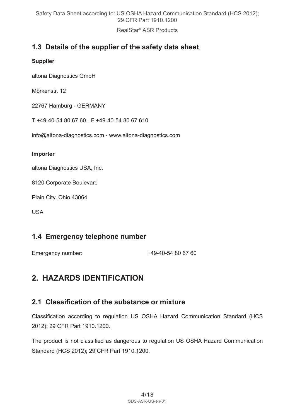RealStar® ASR Products

# **1.3 Details of the supplier of the safety data sheet**

#### **Supplier**

altona Diagnostics GmbH

Mörkenstr. 12

22767 Hamburg - GERMANY

T +49-40-54 80 67 60 - F +49-40-54 80 67 610

info@altona-diagnostics.com - www.altona-diagnostics.com

#### **Importer**

altona Diagnostics USA, Inc.

8120 Corporate Boulevard

Plain City, Ohio 43064

USA

### **1.4 Emergency telephone number**

Emergency number:  $+49-40-54806760$ 

# **2. HAZARDS IDENTIFICATION**

### **2.1 Classification of the substance or mixture**

Classification according to regulation US OSHA Hazard Communication Standard (HCS 2012); 29 CFR Part 1910.1200.

The product is not classified as dangerous to regulation US OSHA Hazard Communication Standard (HCS 2012); 29 CFR Part 1910.1200.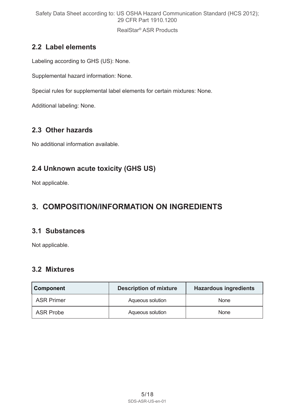RealStar® ASR Products

# **2.2 Label elements**

Labeling according to GHS (US): None.

Supplemental hazard information: None.

Special rules for supplemental label elements for certain mixtures: None.

Additional labeling: None.

# **2.3 Other hazards**

No additional information available.

# **2.4 Unknown acute toxicity (GHS US)**

Not applicable.

# **3. COMPOSITION/INFORMATION ON INGREDIENTS**

# **3.1 Substances**

Not applicable.

# **3.2 Mixtures**

| <b>Component</b>  | <b>Description of mixture</b> | <b>Hazardous ingredients</b> |
|-------------------|-------------------------------|------------------------------|
| <b>ASR Primer</b> | Aqueous solution              | None                         |
| ASR Probe         | Aqueous solution              | None                         |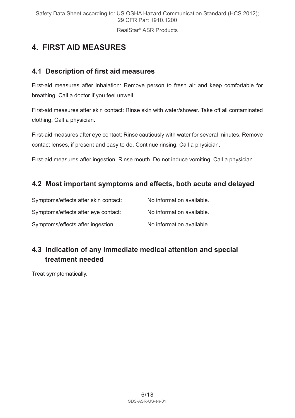RealStar® ASR Products

# **4. FIRST AID MEASURES**

### **4.1 Description of first aid measures**

First-aid measures after inhalation: Remove person to fresh air and keep comfortable for breathing. Call a doctor if you feel unwell.

First-aid measures after skin contact: Rinse skin with water/shower. Take off all contaminated clothing. Call a physician.

First-aid measures after eye contact: Rinse cautiously with water for several minutes. Remove contact lenses, if present and easy to do. Continue rinsing. Call a physician.

First-aid measures after ingestion: Rinse mouth. Do not induce vomiting. Call a physician.

# **4.2 Most important symptoms and effects, both acute and delayed**

| Symptoms/effects after skin contact: | No information available. |
|--------------------------------------|---------------------------|
| Symptoms/effects after eye contact:  | No information available. |
| Symptoms/effects after ingestion:    | No information available. |

# **4.3 Indication of any immediate medical attention and special treatment needed**

Treat symptomatically.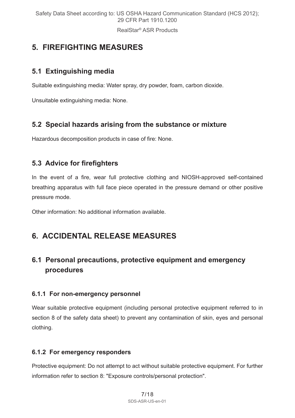# **5. FIREFIGHTING MEASURES**

# **5.1 Extinguishing media**

Suitable extinguishing media: Water spray, dry powder, foam, carbon dioxide.

Unsuitable extinguishing media: None.

### **5.2 Special hazards arising from the substance or mixture**

Hazardous decomposition products in case of fire: None.

# **5.3 Advice for firefighters**

In the event of a fire, wear full protective clothing and NIOSH-approved self-contained breathing apparatus with full face piece operated in the pressure demand or other positive pressure mode.

Other information: No additional information available.

# **6. ACCIDENTAL RELEASE MEASURES**

# **6.1 Personal precautions, protective equipment and emergency procedures**

#### **6.1.1 For non-emergency personnel**

Wear suitable protective equipment (including personal protective equipment referred to in section 8 of the safety data sheet) to prevent any contamination of skin, eyes and personal clothing.

#### **6.1.2 For emergency responders**

Protective equipment: Do not attempt to act without suitable protective equipment. For further information refer to section 8: "Exposure controls/personal protection".

> 7/18 SDS-ASR-US-en-01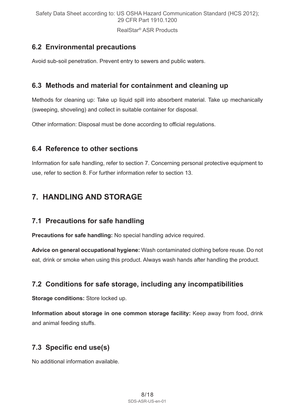RealStar® ASR Products

# **6.2 Environmental precautions**

Avoid sub-soil penetration. Prevent entry to sewers and public waters.

### **6.3 Methods and material for containment and cleaning up**

Methods for cleaning up: Take up liquid spill into absorbent material. Take up mechanically (sweeping, shoveling) and collect in suitable container for disposal.

Other information: Disposal must be done according to official regulations.

### **6.4 Reference to other sections**

Information for safe handling, refer to section 7. Concerning personal protective equipment to use, refer to section 8. For further information refer to section 13.

# **7. HANDLING AND STORAGE**

### **7.1 Precautions for safe handling**

**Precautions for safe handling:** No special handling advice required.

**Advice on general occupational hygiene:** Wash contaminated clothing before reuse. Do not eat, drink or smoke when using this product. Always wash hands after handling the product.

# **7.2 Conditions for safe storage, including any incompatibilities**

**Storage conditions:** Store locked up.

**Information about storage in one common storage facility:** Keep away from food, drink and animal feeding stuffs.

# **7.3 Specific end use(s)**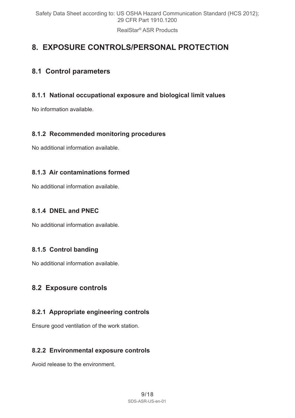RealStar® ASR Products

# **8. EXPOSURE CONTROLS/PERSONAL PROTECTION**

### **8.1 Control parameters**

#### **8.1.1 National occupational exposure and biological limit values**

No information available.

#### **8.1.2 Recommended monitoring procedures**

No additional information available.

#### **8.1.3 Air contaminations formed**

No additional information available.

#### **8.1.4 DNEL and PNEC**

No additional information available.

### **8.1.5 Control banding**

No additional information available.

# **8.2 Exposure controls**

#### **8.2.1 Appropriate engineering controls**

Ensure good ventilation of the work station.

#### **8.2.2 Environmental exposure controls**

Avoid release to the environment.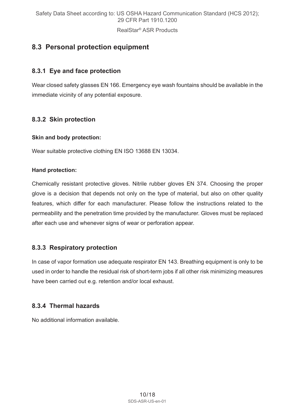# **8.3 Personal protection equipment**

### **8.3.1 Eye and face protection**

Wear closed safety glasses EN 166. Emergency eye wash fountains should be available in the immediate vicinity of any potential exposure.

### **8.3.2 Skin protection**

#### **Skin and body protection:**

Wear suitable protective clothing EN ISO 13688 EN 13034.

#### **Hand protection:**

Chemically resistant protective gloves. Nitrile rubber gloves EN 374. Choosing the proper glove is a decision that depends not only on the type of material, but also on other quality features, which differ for each manufacturer. Please follow the instructions related to the permeability and the penetration time provided by the manufacturer. Gloves must be replaced after each use and whenever signs of wear or perforation appear.

#### **8.3.3 Respiratory protection**

In case of vapor formation use adequate respirator EN 143. Breathing equipment is only to be used in order to handle the residual risk of short-term jobs if all other risk minimizing measures have been carried out e.g. retention and/or local exhaust.

#### **8.3.4 Thermal hazards**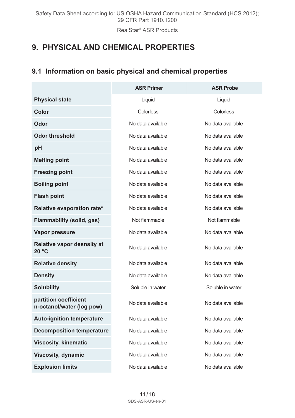# **9. PHYSICAL AND CHEMICAL PROPERTIES**

# **9.1 Information on basic physical and chemical properties**

|                                                    | <b>ASR Primer</b> | <b>ASR Probe</b>  |
|----------------------------------------------------|-------------------|-------------------|
| <b>Physical state</b>                              | Liquid            | Liquid            |
| Color                                              | Colorless         | Colorless         |
| Odor                                               | No data available | No data available |
| <b>Odor threshold</b>                              | No data available | No data available |
| pH                                                 | No data available | No data available |
| <b>Melting point</b>                               | No data available | No data available |
| <b>Freezing point</b>                              | No data available | No data available |
| <b>Boiling point</b>                               | No data available | No data available |
| <b>Flash point</b>                                 | No data available | No data available |
| Relative evaporation rate*                         | No data available | No data available |
| Flammability (solid, gas)                          | Not flammable     | Not flammable     |
| Vapor pressure                                     | No data available | No data available |
| Relative vapor desnsity at<br>20 °C                | No data available | No data available |
| <b>Relative density</b>                            | No data available | No data available |
| <b>Density</b>                                     | No data available | No data available |
| <b>Solubility</b>                                  | Soluble in water  | Soluble in water  |
| partition coefficient<br>n-octanol/water (log pow) | No data available | No data available |
| Auto-ignition temperature                          | No data available | No data available |
| <b>Decomposition temperature</b>                   | No data available | No data available |
| <b>Viscosity, kinematic</b>                        | No data available | No data available |
| <b>Viscosity, dynamic</b>                          | No data available | No data available |
| <b>Explosion limits</b>                            | No data available | No data available |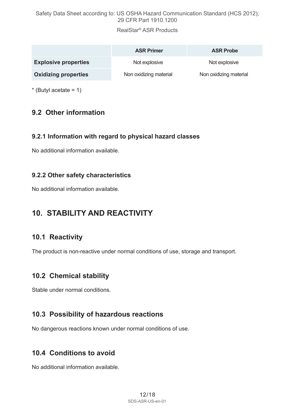RealStar® ASR Products

|                             | <b>ASR Primer</b>      | <b>ASR Probe</b>       |
|-----------------------------|------------------------|------------------------|
| <b>Explosive properties</b> | Not explosive          | Not explosive          |
| <b>Oxidizing properties</b> | Non oxidizing material | Non oxidizing material |

 $*$  (Butyl acetate = 1)

# **9.2 Other information**

#### **9.2.1 Information with regard to physical hazard classes**

No additional information available.

#### **9.2.2 Other safety characteristics**

No additional information available.

# **10. STABILITY AND REACTIVITY**

### **10.1 Reactivity**

The product is non-reactive under normal conditions of use, storage and transport.

### **10.2 Chemical stability**

Stable under normal conditions.

#### **10.3 Possibility of hazardous reactions**

No dangerous reactions known under normal conditions of use.

### **10.4 Conditions to avoid**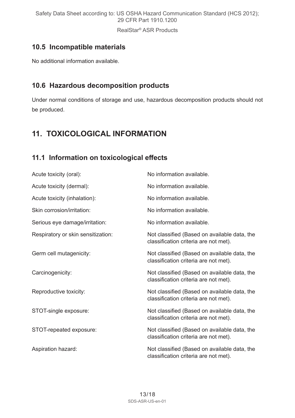RealStar® ASR Products

# **10.5 Incompatible materials**

No additional information available.

### **10.6 Hazardous decomposition products**

Under normal conditions of storage and use, hazardous decomposition products should not be produced.

# **11. TOXICOLOGICAL INFORMATION**

### **11.1 Information on toxicological effects**

| Acute toxicity (oral):             | No information available.                                                             |
|------------------------------------|---------------------------------------------------------------------------------------|
| Acute toxicity (dermal):           | No information available.                                                             |
| Acute toxicity (inhalation):       | No information available.                                                             |
| Skin corrosion/irritation:         | No information available.                                                             |
| Serious eye damage/irritation:     | No information available.                                                             |
| Respiratory or skin sensitization: | Not classified (Based on available data, the<br>classification criteria are not met). |
| Germ cell mutagenicity:            | Not classified (Based on available data, the<br>classification criteria are not met). |
| Carcinogenicity:                   | Not classified (Based on available data, the<br>classification criteria are not met). |
| Reproductive toxicity:             | Not classified (Based on available data, the<br>classification criteria are not met). |
| STOT-single exposure:              | Not classified (Based on available data, the<br>classification criteria are not met). |
| STOT-repeated exposure:            | Not classified (Based on available data, the<br>classification criteria are not met). |
| Aspiration hazard:                 | Not classified (Based on available data, the<br>classification criteria are not met). |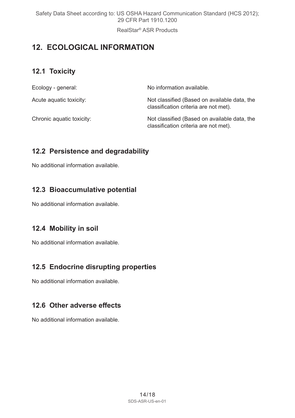RealStar® ASR Products

# **12. ECOLOGICAL INFORMATION**

# **12.1 Toxicity**

| Ecology - general:        | No information available.                                                             |
|---------------------------|---------------------------------------------------------------------------------------|
| Acute aquatic toxicity:   | Not classified (Based on available data, the<br>classification criteria are not met). |
| Chronic aquatic toxicity: | Not classified (Based on available data, the<br>classification criteria are not met). |

### **12.2 Persistence and degradability**

No additional information available.

# **12.3 Bioaccumulative potential**

No additional information available.

### **12.4 Mobility in soil**

No additional information available.

### **12.5 Endocrine disrupting properties**

No additional information available.

# **12.6 Other adverse effects**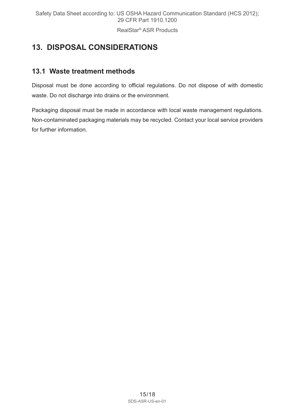# **13. DISPOSAL CONSIDERATIONS**

# **13.1 Waste treatment methods**

Disposal must be done according to official regulations. Do not dispose of with domestic waste. Do not discharge into drains or the environment.

Packaging disposal must be made in accordance with local waste management regulations. Non-contaminated packaging materials may be recycled. Contact your local service providers for further information.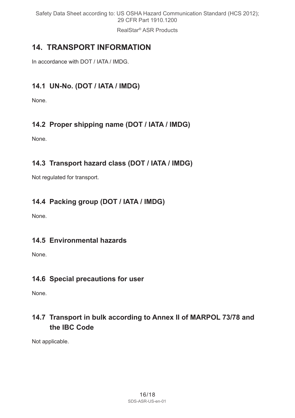RealStar® ASR Products

# **14. TRANSPORT INFORMATION**

In accordance with DOT / IATA / IMDG.

# **14.1 UN-No. (DOT / IATA / IMDG)**

None.

# **14.2 Proper shipping name (DOT / IATA / IMDG)**

None.

# **14.3 Transport hazard class (DOT / IATA / IMDG)**

Not regulated for transport.

# **14.4 Packing group (DOT / IATA / IMDG)**

None.

# **14.5 Environmental hazards**

None.

# **14.6 Special precautions for user**

None.

# **14.7 Transport in bulk according to Annex II of MARPOL 73/78 and the IBC Code**

Not applicable.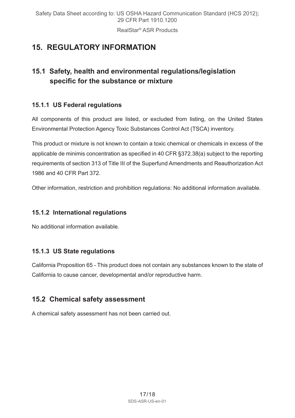# **15. REGULATORY INFORMATION**

# **15.1 Safety, health and environmental regulations/legislation specific for the substance or mixture**

### **15.1.1 US Federal regulations**

All components of this product are listed, or excluded from listing, on the United States Environmental Protection Agency Toxic Substances Control Act (TSCA) inventory.

This product or mixture is not known to contain a toxic chemical or chemicals in excess of the applicable de minimis concentration as specified in 40 CFR §372.38(a) subject to the reporting requirements of section 313 of Title III of the Superfund Amendments and Reauthorization Act 1986 and 40 CFR Part 372.

Other information, restriction and prohibition regulations: No additional information available.

#### **15.1.2 International regulations**

No additional information available.

#### **15.1.3 US State regulations**

California Proposition 65 - This product does not contain any substances known to the state of California to cause cancer, developmental and/or reproductive harm.

### **15.2 Chemical safety assessment**

A chemical safety assessment has not been carried out.